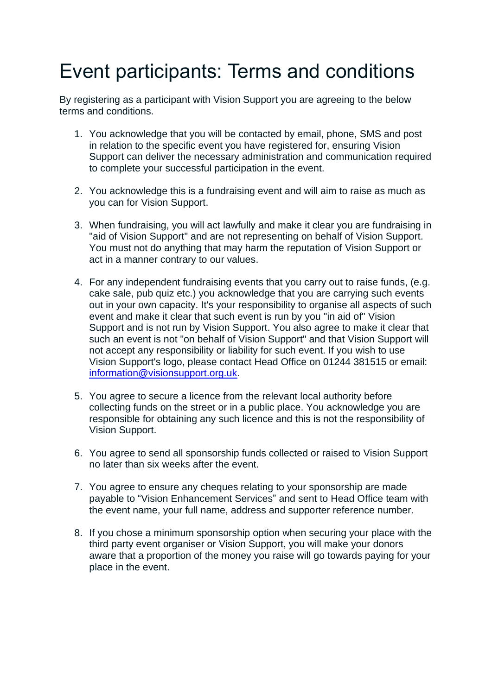## Event participants: Terms and conditions

By registering as a participant with Vision Support you are agreeing to the below terms and conditions.

- 1. You acknowledge that you will be contacted by email, phone, SMS and post in relation to the specific event you have registered for, ensuring Vision Support can deliver the necessary administration and communication required to complete your successful participation in the event.
- 2. You acknowledge this is a fundraising event and will aim to raise as much as you can for Vision Support.
- 3. When fundraising, you will act lawfully and make it clear you are fundraising in "aid of Vision Support" and are not representing on behalf of Vision Support. You must not do anything that may harm the reputation of Vision Support or act in a manner contrary to our values.
- 4. For any independent fundraising events that you carry out to raise funds, (e.g. cake sale, pub quiz etc.) you acknowledge that you are carrying such events out in your own capacity. It's your responsibility to organise all aspects of such event and make it clear that such event is run by you "in aid of" Vision Support and is not run by Vision Support. You also agree to make it clear that such an event is not "on behalf of Vision Support" and that Vision Support will not accept any responsibility or liability for such event. If you wish to use Vision Support's logo, please contact Head Office on 01244 381515 or email: [information@visionsupport.org.uk.](mailto:information@visionsupport.org.uk)
- 5. You agree to secure a licence from the relevant local authority before collecting funds on the street or in a public place. You acknowledge you are responsible for obtaining any such licence and this is not the responsibility of Vision Support.
- 6. You agree to send all sponsorship funds collected or raised to Vision Support no later than six weeks after the event.
- 7. You agree to ensure any cheques relating to your sponsorship are made payable to "Vision Enhancement Services" and sent to Head Office team with the event name, your full name, address and supporter reference number.
- 8. If you chose a minimum sponsorship option when securing your place with the third party event organiser or Vision Support, you will make your donors aware that a proportion of the money you raise will go towards paying for your place in the event.